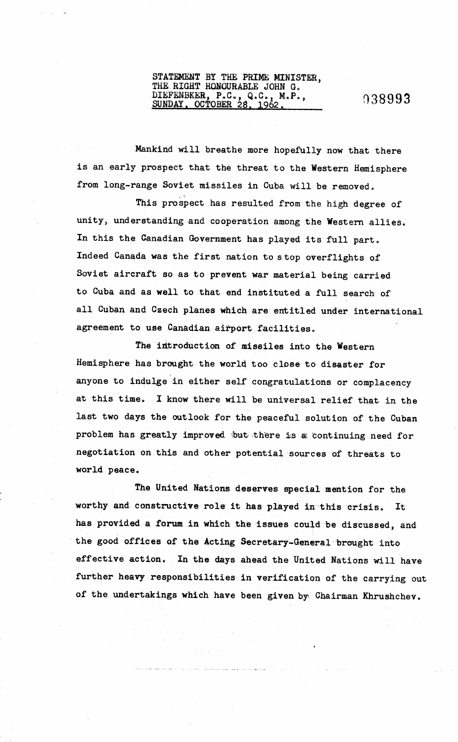## STATEMENT BY THE PRIME MINISTER, THE RIGHT HONOURABLE JOHN G. DIEFENBKER, P.C., Q.C., M.P., 03899<br>SUNDAY, OCTOBER 28, 1962.

Mankind will breathe more hopefully now that there is an early prospect that the threat to the Western Hemisphere from long-range Soviet missiles in Cuba will be removed.

This prospect has resulted from the high degree of unity, understanding and cooperation among the Western allies. In this the Canadian Government has played its full part. Indeed Canada was the first nation to stop overflights of Soviet aircraft so as to prevent war material being carried to Cuba and as well to that end instituted a full search of all Cuban and Czech planes which are entitled under international agreement to use Canadian airport facilities.

The introduction of missiles into the Western Hemisphere has brought the worlq too close to disaster for anyone to indulge in either self congratulations or complacency at this time. I know there will be universal relief that in the last two days the outlook for the peaceful solution of the Cuban problem has greatly improved but there is a continuing need for negotiation on this and other potential sources of threats to world peace.

The United Nations deserves special mention for the worthy and constructive role it has played in 'this crisis. It has provided a forum in which the issues could be discussed, and the good offices of the Acting Secretary-General brought into effective action. In the days ahead the United Nations will have further heavy responsibilities in verification of the carrying out of the undertakings which have been given by Chairman Khrushchev.